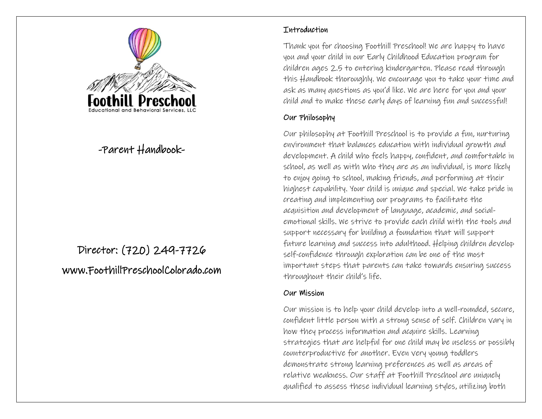

# -Parent Handbook-

# Director: (720) 249-7726 www.FoothillPreschoolColorado.com

#### **Thtroduction**

Thank you for choosing Foothill Preschool! We are happy to have you and your child in our Early Childhood Education program for children ages 2.5 to entering kindergarten. Please read through this Handbook thoroughly. We encourage you to take your time and ask as many questions as you'd like. We are here for you and your child and to make these early days of learning fun and successful!

#### Our Philosophy

Our philosophy at Foothill Preschool is to provide a fun, nurturing environment that balances education with individual growth and development. A child who feels happy, confident, and comfortable in school, as well as with who they are as an individual, is more likely to enjoy going to school, making friends, and performing at their highest capability. Your child is unique and special. We take pride in creating and implementing our programs to facilitate the acquisition and development of language, academic, and socialemotional skills. We strive to provide each child with the tools and support necessary for building a foundation that will support future learning and success into adulthood. Helping children develop self-confidence through exploration can be one of the most important steps that parents can take towards ensuring success throughout their child's life.

#### Our Mission

Our mission is to help your child develop into a well-rounded, secure, confident little person with a strong sense of self. Children vary in how they process information and acquire skills. Learning strategies that are helpful for one child may be useless or possibly counterproductive for another. Even very young toddlers demonstrate strong learning preferences as well as areas of relative weakness. Our staff at Foothill Preschool are uniquely qualified to assess these individual learning styles, utilizing both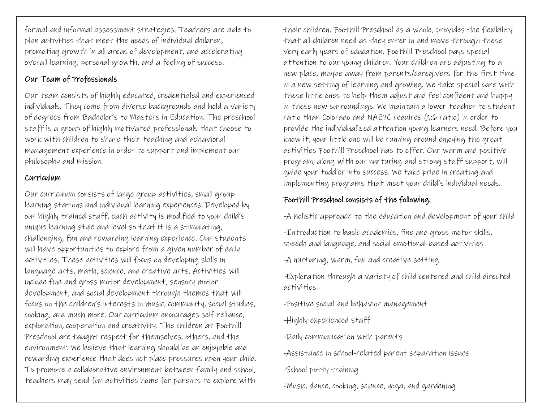formal and informal assessment strategies. Teachers are able to plan activities that meet the needs of individual children, promoting growth in all areas of development, and accelerating overall learning, personal growth, and a feeling of success.

#### Our Team of Professionals

Our team consists of highly educated, credentialed and experienced individuals. They come from diverse backgrounds and hold a variety of degrees from Bachelor's to Masters in Education. The preschool staff is a group of highly motivated professionals that choose to work with children to share their teaching and behavioral management experience in order to support and implement our philosophy and mission.

#### Curriculum

Our curriculum consists of large group activities, small group learning stations and individual learning experiences. Developed by our highly trained staff, each activity is modified to your child's unique learning style and level so that it is a stimulating, challenging, fun and rewarding learning experience. Our students will have opportunities to explore from a given number of daily activities. These activities will focus on developing skills in language arts, math, science, and creative arts. Activities will include fine and gross motor development, sensory motor development, and social development through themes that will focus on the children's interests in music, community, social studies, cooking, and much more. Our curriculum encourages self-reliance, exploration, cooperation and creativity. The children at Foothill Preschool are taught respect for themselves, others, and the environment. We believe that learning should be an enjoyable and rewarding experience that does not place pressures upon your child. To promote a collaborative environment between family and school, teachers may send fun activities home for parents to explore with

their children. Foothill Preschool as a whole, provides the flexibility that all children need as they enter in and move through these very early years of education. Foothill Preschool pays special attention to our young children. Your children are adjusting to a new place, maybe away from parents/caregivers for the first time in a new setting of learning and growing. We take special care with these little ones to help them adjust and feel confident and happy in these new surroundings. We maintain a lower teacher to student ratio than Colorado and NAEYC requires (1:6 ratio) in order to provide the individualized attention young learners need. Before you know it, your little one will be running around enjoying the great activities Foothill Preschool has to offer. Our warm and positive program, along with our nurturing and strong staff support, will guide your toddler into success. We take pride in creating and implementing programs that meet your child's individual needs.

# Foothill Preschool consists of the following:

-A holistic approach to the education and development of your child

-Introduction to basic academics, fine and gross motor skills, speech and language, and social emotional-based activities

-A nurturing, warm, fun and creative setting

-Exploration through a variety of child centered and child directed activities

-Positive social and behavior management

-Highly experienced staff

-Daily communication with parents

-Assistance in school-related parent separation issues

-School potty training

-Music, dance, cooking, science, yoga, and gardening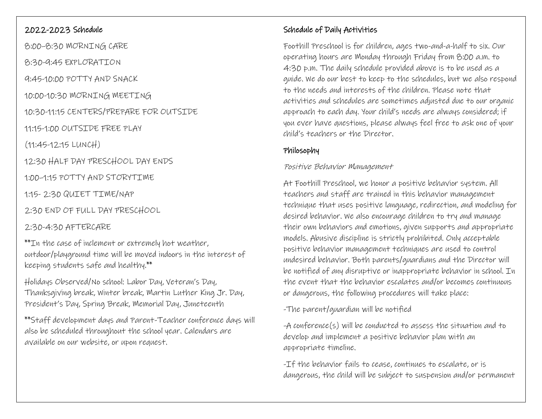### 2022-2023 Schedule

8:00–8:30 MORNING CARE

8:30-9:45 EXPLORATION

9:45-10:00 POTTY AND SNACK

10:00-10:30 MORNING MEETING

10:30-11:15 CENTERS/PREPARE FOR OUTSIDE

11:15-1:00 OUTSIDE FREE PLAY

(11:45-12:15 LUNCH)

12:30 HALF DAY PRESCHOOL DAY ENDS

1:00–1:15 POTTY AND STORYTIME

1:15- 2:30 QUIET TIME/NAP

2:30 END OF FULL DAY PRESCHOOL

### 2:30-4:30 AFTERCARE

\*\*In the case of inclement or extremely hot weather, outdoor/playground time will be moved indoors in the interest of keeping students safe and healthy.\*\*

Holidays Observed/No school: Labor Day, Veteran's Day, Thanksgiving break, Winter break, Martin Luther King Jr. Day, President's Day, Spring Break, Memorial Day, Juneteenth

\*\*Staff development days and Parent-Teacher conference days will also be scheduled throughout the school year. Calendars are available on our website, or upon request.

# Schedule of Daily Activities

Foothill Preschool is for children, ages two-and-a-half to six. Our operating hours are Monday through Friday from 8:00 a.m. to 4:30 p.m. The daily schedule provided above is to be used as a guide. We do our best to keep to the schedules, but we also respond to the needs and interests of the children. Please note that activities and schedules are sometimes adjusted due to our organic approach to each day. Your child's needs are always considered; if you ever have questions, please always feel free to ask one of your child's teachers or the Director.

# Philosophy

#### Positive Behavior Management

At Foothill Preschool, we honor a positive behavior system. All teachers and staff are trained in this behavior management technique that uses positive language, redirection, and modeling for desired behavior. We also encourage children to try and manage their own behaviors and emotions, given supports and appropriate models. Abusive discipline is strictly prohibited. Only acceptable positive behavior management techniques are used to control undesired behavior. Both parents/guardians and the Director will be notified of any disruptive or inappropriate behavior in school. In the event that the behavior escalates and/or becomes continuous or dangerous, the following procedures will take place:

-The parent/guardian will be notified

-A conference(s) will be conducted to assess the situation and to develop and implement a positive behavior plan with an appropriate timeline.

-If the behavior fails to cease, continues to escalate, or is dangerous, the child will be subject to suspension and/or permanent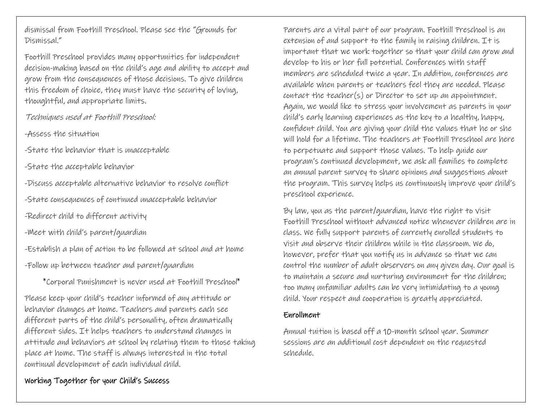dismissal from Foothill Preschool. Please see the "Grounds for Dismissal."

Foothill Preschool provides many opportunities for independent decision-making based on the child's age and ability to accept and grow from the consequences of those decisions. To give children this freedom of choice, they must have the security of loving, thoughtful, and appropriate limits.

Techniques used at Foothill Preschool:

-Assess the situation

-State the behavior that is unacceptable

-State the acceptable behavior

-Discuss acceptable alternative behavior to resolve conflict

-State consequences of continued unacceptable behavior

-Redirect child to different activity

-Meet with child's parent/guardian

-Establish a plan of action to be followed at school and at home

-Follow up between teacher and parent/guardian

\*Corporal Punishment is never used at Foothill Preschool\*

Please keep your child's teacher informed of any attitude or behavior changes at home. Teachers and parents each see different parts of the child's personality, often dramatically different sides. It helps teachers to understand changes in attitude and behaviors at school by relating them to those taking place at home. The staff is always interested in the total continual development of each individual child.

### Working Together for your Child's Success

Parents are a vital part of our program. Foothill Preschool is an extension of and support to the family in raising children. It is important that we work together so that your child can grow and develop to his or her full potential. Conferences with staff members are scheduled twice a year. In addition, conferences are available when parents or teachers feel they are needed. Please contact the teacher(s) or Director to set up an appointment. Again, we would like to stress your involvement as parents in your child's early learning experiences as the key to a healthy, happy, confident child. You are giving your child the values that he or she will hold for a lifetime. The teachers at Foothill Preschool are here to perpetuate and support those values. To help guide our program's continued development, we ask all families to complete an annual parent survey to share opinions and suggestions about the program. This survey helps us continuously improve your child's preschool experience.

By law, you as the parent/guardian, have the right to visit Foothill Preschool without advanced notice whenever children are in class. We fully support parents of currently enrolled students to visit and observe their children while in the classroom. We do, however, prefer that you notify us in advance so that we can control the number of adult observers on any given day. Our goal is to maintain a secure and nurturing environment for the children; too many unfamiliar adults can be very intimidating to a young child. Your respect and cooperation is greatly appreciated.

#### Enrollment

Annual tuition is based off a 10-month school year. Summer sessions are an additional cost dependent on the requested schedule.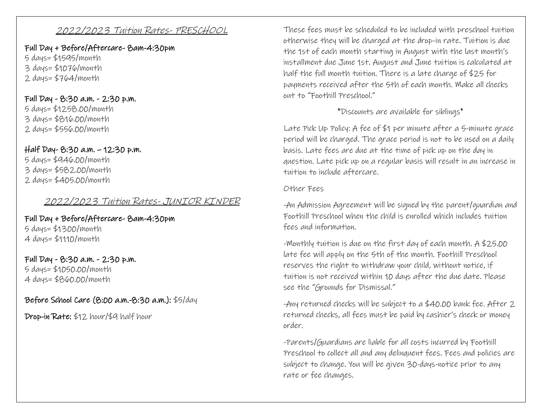### 2022/2023 Tuition Rates- PRESCHOOL

Full Day + Before/Aftercare- 8am-4:30pm 5 days= \$1595/month 3 days= \$1076/month 2 days= $$764/m$ onth

### Full Day - 8:30 a.m. - 2:30 p.m.

5 days= \$1258.00/month 3 days= \$816.00/month 2 days= \$556.00/month

# Half Day- 8:30 a.m. – 12:30 p.m.

5 days= \$946.00/month 3 days= \$582.00/month 2 days= \$405.00/month

# 2022/2023 Tuition Rates- JUNIOR KINDER

Full Day + Before/Aftercare- 8am-4:30pm 5 days= \$1300/month 4 days= \$1110/month

#### Full Day - 8:30 a.m. - 2:30 p.m. 5 days= \$1050.00/month

4 days= \$860.00/month

# Before School Care (8:00 a.m.-8:30 a.m.): \$5/day

Drop-in Rate: \$12 hour/\$9 half hour

These fees must be scheduled to be included with preschool tuition otherwise they will be charged at the drop-in rate. Tuition is due the 1st of each month starting in August with the last month's installment due June 1st. August and June tuition is calculated at half the full month tuition. There is a late charge of \$25 for payments received after the 5th of each month. Make all checks out to "Foothill Preschool."

# \*Discounts are available for siblings\*

Late Pick Up Policy: A fee of \$1 per minute after a 5-minute grace period will be charged. The grace period is not to be used on a daily basis. Late fees are due at the time of pick up on the day in question. Late pick up on a regular basis will result in an increase in tuition to include aftercare.

#### Other Fees

-An Admission Agreement will be signed by the parent/guardian and Foothill Preschool when the child is enrolled which includes tuition fees and information.

-Monthly tuition is due on the first day of each month. A \$25.00 late fee will apply on the 5th of the month. Foothill Preschool reserves the right to withdraw your child, without notice, if tuition is not received within 10 days after the due date. Please see the "Grounds for Dismissal."

-Any returned checks will be subject to a \$40.00 bank fee. After 2 returned checks, all fees must be paid by cashier's check or money order.

-Parents/Guardians are liable for all costs incurred by Foothill Preschool to collect all and any delinquent fees. Fees and policies are subject to change. You will be given 30-days-notice prior to any rate or fee changes.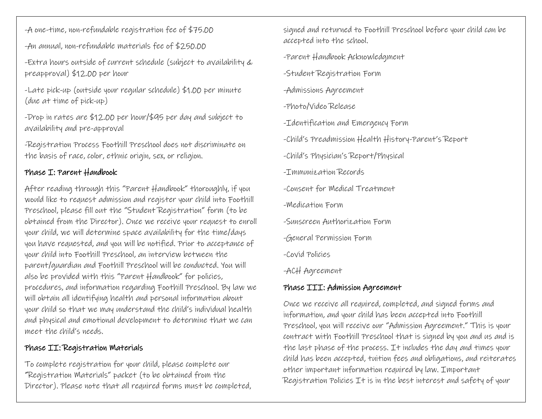-A one-time, non-refundable registration fee of \$75.00

-An annual, non-refundable materials fee of \$250.00

-Extra hours outside of current schedule (subject to availability & preapproval) \$12.00 per hour

-Late pick-up (outside your regular schedule) \$1.00 per minute (due at time of pick-up)

-Drop in rates are \$12.00 per hour/\$95 per day and subject to availability and pre-approval

-Registration Process Foothill Preschool does not discriminate on the basis of race, color, ethnic origin, sex, or religion.

#### Phase I: Parent Handbook

After reading through this "Parent Handbook" thoroughly, if you would like to request admission and register your child into Foothill Preschool, please fill out the "Student Registration" form (to be obtained from the Director). Once we receive your request to enroll your child, we will determine space availability for the time/days you have requested, and you will be notified. Prior to acceptance of your child into Foothill Preschool, an interview between the parent/guardian and Foothill Preschool will be conducted. You will also be provided with this "Parent Handbook" for policies, procedures, and information regarding Foothill Preschool. By law we will obtain all identifying health and personal information about your child so that we may understand the child's individual health and physical and emotional development to determine that we can meet the child's needs.

### Phase II: Registration Materials

To complete registration for your child, please complete our "Registration Materials" packet (to be obtained from the Director). Please note that all required forms must be completed, signed and returned to Foothill Preschool before your child can be accepted into the school.

-Parent Handbook Acknowledgment

-Student Registration Form

-Admissions Agreement

- -Photo/Video Release
- -Identification and Emergency Form
- -Child's Preadmission Health History-Parent's Report

-Child's Physician's Report/Physical

- -Immunization Records
- -Consent for Medical Treatment
- -Medication Form
- -Sunscreen Authorization Form
- -General Permission Form
- -Covid Policies
- -ACH Agreement

# Phase III: Admission Agreement

Once we receive all required, completed, and signed forms and information, and your child has been accepted into Foothill Preschool, you will receive our "Admission Agreement." This is your contract with Foothill Preschool that is signed by you and us and is the last phase of the process. It includes the day and times your child has been accepted, tuition fees and obligations, and reiterates other important information required by law. Important Registration Policies It is in the best interest and safety of your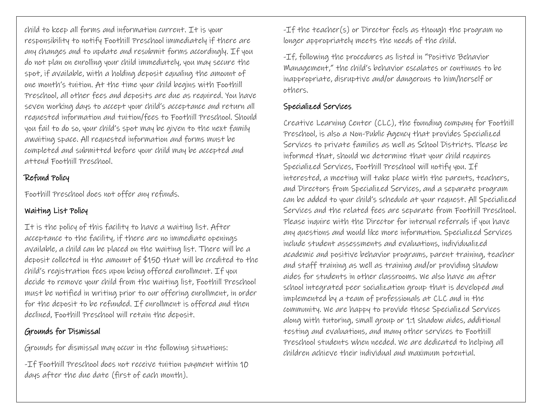child to keep all forms and information current. It is your responsibility to notify Foothill Preschool immediately if there are any changes and to update and resubmit forms accordingly. If you do not plan on enrolling your child immediately, you may secure the spot, if available, with a holding deposit equaling the amount of one month's tuition. At the time your child begins with Foothill Preschool, all other fees and deposits are due as required. You have seven working days to accept your child's acceptance and return all requested information and tuition/fees to Foothill Preschool. Should you fail to do so, your child's spot may be given to the next family awaiting space. All requested information and forms must be completed and submitted before your child may be accepted and attend Foothill Preschool.

# Refund Policy

Foothill Preschool does not offer any refunds.

# Waiting List Policy

It is the policy of this facility to have a waiting list. After acceptance to the facility, if there are no immediate openings available, a child can be placed on the waiting list. There will be a deposit collected in the amount of \$150 that will be credited to the child's registration fees upon being offered enrollment. If you decide to remove your child from the waiting list, Foothill Preschool must be notified in writing prior to our offering enrollment, in order for the deposit to be refunded. If enrollment is offered and then declined, Foothill Preschool will retain the deposit.

# Grounds for Dismissal

Grounds for dismissal may occur in the following situations:

-If Foothill Preschool does not receive tuition payment within 10 days after the due date (first of each month).

-If the teacher(s) or Director feels as though the program no longer appropriately meets the needs of the child.

-If, following the procedures as listed in "Positive Behavior Management," the child's behavior escalates or continues to be inappropriate, disruptive and/or dangerous to him/herself or others.

# Specialized Services

Creative Learning Center (CLC), the founding company for Foothill Preschool, is also a Non-Public Agency that provides Specialized Services to private families as well as School Districts. Please be informed that, should we determine that your child requires Specialized Services, Foothill Preschool will notify you. If interested, a meeting will take place with the parents, teachers, and Directors from Specialized Services, and a separate program can be added to your child's schedule at your request. All Specialized Services and the related fees are separate from Foothill Preschool. Please inquire with the Director for internal referrals if you have any questions and would like more information. Specialized Services include student assessments and evaluations, individualized academic and positive behavior programs, parent training, teacher and staff training as well as training and/or providing shadow aides for students in other classrooms. We also have an after school integrated peer socialization group that is developed and implemented by a team of professionals at CLC and in the community. We are happy to provide these Specialized Services along with tutoring, small group or 1:1 shadow aides, additional testing and evaluations, and many other services to Foothill Preschool students when needed. We are dedicated to helping all children achieve their individual and maximum potential.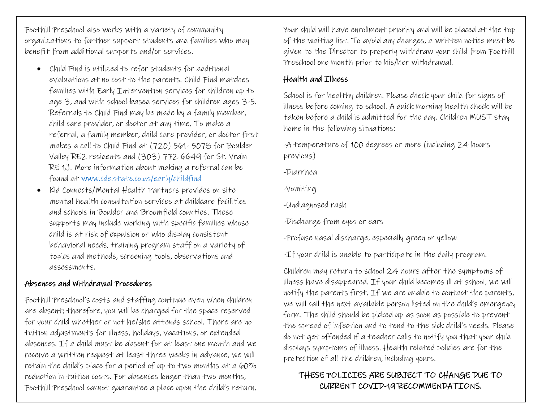Foothill Preschool also works with a variety of community organizations to further support students and families who may benefit from additional supports and/or services.

- Child Find is utilized to refer students for additional evaluations at no cost to the parents. Child Find matches families with Early Intervention services for children up to age 3, and with school-based services for children ages 3-5. Referrals to Child Find may be made by a family member, child care provider, or doctor at any time. To make a referral, a family member, child care provider, or doctor first makes a call to Child Find at (720) 561- 5078 for Boulder Valley RE2 residents and (303) 772-6649 for St. Vrain RE 1J. More information about making a referral can be found at [www.cde.state.co.us/early/childfind](http://www.cde.state.co.us/early/childfind)
- Kid Connects/Mental Health Partners provides on site mental health consultation services at childcare facilities and schools in Boulder and Broomfield counties. These supports may include working with specific families whose child is at risk of expulsion or who display consistent behavioral needs, training program staff on a variety of topics and methods, screening tools, observations and assessments.

#### Absences and Withdrawal Procedures

Foothill Preschool's costs and staffing continue even when children are absent; therefore, you will be charged for the space reserved for your child whether or not he/she attends school. There are no tuition adjustments for illness, holidays, vacations, or extended absences. If a child must be absent for at least one month and we receive a written request at least three weeks in advance, we will retain the child's place for a period of up to two months at a  $60\%$ reduction in tuition costs. For absences longer than two months, Foothill Preschool cannot guarantee a place upon the child's return.

Your child will have enrollment priority and will be placed at the top of the waiting list. To avoid any charges, a written notice must be given to the Director to properly withdraw your child from Foothill Preschool one month prior to his/her withdrawal.

#### Health and Illness

School is for healthy children. Please check your child for signs of illness before coming to school. A quick morning health check will be taken before a child is admitted for the day. Children MUST stay home in the following situations:

-A temperature of 100 degrees or more (including 24 hours previous)

-Diarrhea

-Vomiting

-Undiagnosed rash

-Discharge from eyes or ears

-Profuse nasal discharge, especially green or yellow

-If your child is unable to participate in the daily program.

Children may return to school 24 hours after the symptoms of illness have disappeared. If your child becomes ill at school, we will notify the parents first. If we are unable to contact the parents, we will call the next available person listed on the child's emergency form. The child should be picked up as soon as possible to prevent the spread of infection and to tend to the sick child's needs. Please do not get offended if a teacher calls to notify you that your child displays symptoms of illness. Health related policies are for the protection of all the children, including yours.

# THESE POLICIES ARE SUBJECT TO CHANGE DUE TO CURRENT COVID-19 RECOMMENDATIONS.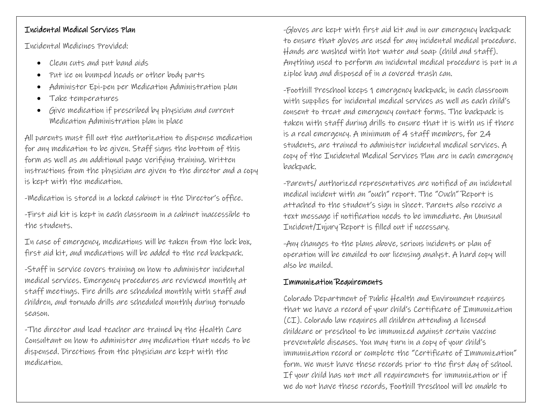# Incidental Medical Services Plan

Incidental Medicines Provided:

- Clean cuts and put band aids
- Put ice on bumped heads or other body parts
- Administer Epi-pen per Medication Administration plan
- Take temperatures
- Give medication if prescribed by physician and current Medication Administration plan in place

All parents must fill out the authorization to dispense medication for any medication to be given. Staff signs the bottom of this form as well as an additional page verifying training. Written instructions from the physician are given to the director and a copy is kept with the medication.

-Medication is stored in a locked cabinet in the Director's office.

-First aid kit is kept in each classroom in a cabinet inaccessible to the students.

In case of emergency, medications will be taken from the lock box, first aid kit, and medications will be added to the red backpack.

-Staff in service covers training on how to administer incidental medical services. Emergency procedures are reviewed monthly at staff meetings. Fire drills are scheduled monthly with staff and children, and tornado drills are scheduled monthly during tornado season.

-The director and lead teacher are trained by the Health Care Consultant on how to administer any medication that needs to be dispensed. Directions from the physician are kept with the medication.

-Gloves are kept with first aid kit and in our emergency backpack to ensure that gloves are used for any incidental medical procedure. Hands are washed with hot water and soap (child and staff). Anything used to perform an incidental medical procedure is put in a ziploc bag and disposed of in a covered trash can.

-Foothill Preschool keeps 1 emergency backpack, in each classroom with supplies for incidental medical services as well as each child's consent to treat and emergency contact forms. The backpack is taken with staff during drills to ensure that it is with us if there is a real emergency. A minimum of 4 staff members, for 24 students, are trained to administer incidental medical services. A copy of the Incidental Medical Services Plan are in each emergency backpack.

-Parents/ authorized representatives are notified of an incidental medical incident with an "ouch" report. The "Ouch" Report is attached to the student's sign in sheet. Parents also receive a text message if notification needs to be immediate. An Unusual Incident/Injury Report is filled out if necessary.

-Any changes to the plans above, serious incidents or plan of operation will be emailed to our licensing analyst. A hard copy will also be mailed.

# Immunization Requirements

Colorado Department of Public Health and Environment requires that we have a record of your child's Certificate of Immunization (CI). Colorado law requires all children attending a licensed childcare or preschool to be immunized against certain vaccine preventable diseases. You may turn in a copy of your child's immunization record or complete the "Certificate of Immunization" form. We must have these records prior to the first day of school. If your child has not met all requirements for immunization or if we do not have these records, Foothill Preschool will be unable to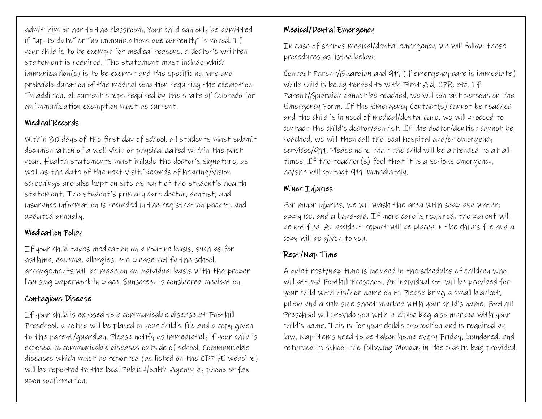admit him or her to the classroom. Your child can only be admitted if "up-to date" or "no immunizations due currently" is noted. If your child is to be exempt for medical reasons, a doctor's written statement is required. The statement must include which immunization(s) is to be exempt and the specific nature and probable duration of the medical condition requiring the exemption. In addition, all current steps required by the state of Colorado for an immunization exemption must be current.

# Medical Records

Within 30 days of the first day of school, all students must submit documentation of a well-visit or physical dated within the past year. Health statements must include the doctor's signature, as well as the date of the next visit. Records of hearing/vision screenings are also kept on site as part of the student's health statement. The student's primary care doctor, dentist, and insurance information is recorded in the registration packet, and updated annually.

# Medication Policy

If your child takes medication on a routine basis, such as for asthma, eczema, allergies, etc. please notify the school, arrangements will be made on an individual basis with the proper licensing paperwork in place. Sunscreen is considered medication.

# Contagious Disease

If your child is exposed to a communicable disease at Foothill Preschool, a notice will be placed in your child's file and a copy given to the parent/guardian. Please notify us immediately if your child is exposed to communicable diseases outside of school. Communicable diseases which must be reported (as listed on the CDPHE website) will be reported to the local Public Health Agency by phone or fax upon confirmation.

# Medical/Dental Emergency

In case of serious medical/dental emergency, we will follow these procedures as listed below:

Contact Parent/Guardian and 911 (if emergency care is immediate) while child is being tended to with First Aid, CPR, etc. If Parent/Guardian cannot be reached, we will contact persons on the Emergency Form. If the Emergency Contact(s) cannot be reached and the child is in need of medical/dental care, we will proceed to contact the child's doctor/dentist. If the doctor/dentist cannot be reached, we will then call the local hospital and/or emergency services/911. Please note that the child will be attended to at all times. If the teacher(s) feel that it is a serious emergency, he/she will contact 911 immediately.

# Minor Injuries

For minor injuries, we will wash the area with soap and water; apply ice, and a band-aid. If more care is required, the parent will be notified. An accident report will be placed in the child's file and a copy will be given to you.

# Rest/Nap Time

A quiet rest/nap time is included in the schedules of children who will attend Foothill Preschool. An individual cot will be provided for your child with his/her name on it. Please bring a small blanket, pillow and a crib-size sheet marked with your child's name. Foothill Preschool will provide you with a Ziploc bag also marked with your child's name. This is for your child's protection and is required by law. Nap items need to be taken home every Friday, laundered, and returned to school the following Monday in the plastic bag provided.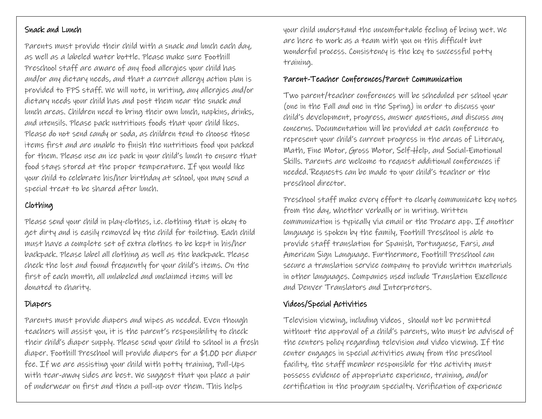### Snack and Lunch

Parents must provide their child with a snack and lunch each day, as well as a labeled water bottle. Please make sure Foothill Preschool staff are aware of any food allergies your child has and/or any dietary needs, and that a current allergy action plan is provided to FPS staff. We will note, in writing, any allergies and/or dietary needs your child has and post them near the snack and lunch areas. Children need to bring their own lunch, napkins, drinks, and utensils. Please pack nutritious foods that your child likes. Please do not send candy or soda, as children tend to choose those items first and are unable to finish the nutritious food you packed for them. Please use an ice pack in your child's lunch to ensure that food stays stored at the proper temperature. If you would like your child to celebrate his/her birthday at school, you may send a special treat to be shared after lunch.

# Clothing

Please send your child in play-clothes, i.e. clothing that is okay to get dirty and is easily removed by the child for toileting. Each child must have a complete set of extra clothes to be kept in his/her backpack. Please label all clothing as well as the backpack. Please check the lost and found frequently for your child's items. On the first of each month, all unlabeled and unclaimed items will be donated to charity.

# Diapers

Parents must provide diapers and wipes as needed. Even though teachers will assist you, it is the parent's responsibility to check their child's diaper supply. Please send your child to school in a fresh diaper. Foothill Preschool will provide diapers for a \$1.00 per diaper fee. If we are assisting your child with potty training, Pull-Ups with tear-away sides are best. We suggest that you place a pair of underwear on first and then a pull-up over them. This helps

your child understand the uncomfortable feeling of being wet. We are here to work as a team with you on this difficult but wonderful process. Consistency is the key to successful potty training.

### Parent-Teacher Conferences/Parent Communication

Two parent/teacher conferences will be scheduled per school year (one in the Fall and one in the Spring) in order to discuss your child's development, progress, answer questions, and discuss any concerns. Documentation will be provided at each conference to represent your child's current progress in the areas of Literacy, Math, Fine Motor, Gross Motor, Self-Help, and Social-Emotional Skills. Parents are welcome to request additional conferences if needed. Requests can be made to your child's teacher or the preschool director.

Preschool staff make every effort to clearly communicate key notes from the day, whether verbally or in writing. Written communication is typically via email or the Procare app. If another language is spoken by the family, Foothill Preschool is able to provide staff translation for Spanish, Portuguese, Farsi, and American Sign Language. Furthermore, Foothill Preschool can secure a translation service company to provide written materials in other languages. Companies used include Translation Excellence and Denver Translators and Interpreters.

# Videos/Special Activities

Television viewing, including videos¸ should not be permitted without the approval of a child's parents, who must be advised of the centers policy regarding television and video viewing. If the center engages in special activities away from the preschool facility, the staff member responsible for the activity must possess evidence of appropriate experience, training, and/or certification in the program specialty. Verification of experience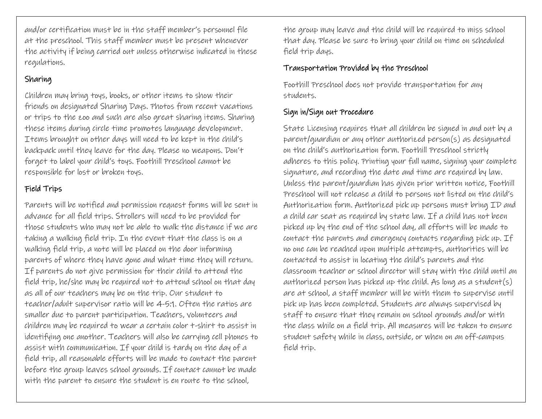and/or certification must be in the staff member's personnel file at the preschool. This staff member must be present whenever the activity if being carried out unless otherwise indicated in these regulations.

# Sharing

Children may bring toys, books, or other items to show their friends on designated Sharing Days. Photos from recent vacations or trips to the zoo and such are also great sharing items. Sharing these items during circle time promotes language development. Items brought on other days will need to be kept in the child's backpack until they leave for the day. Please no weapons. Don't forget to label your child's toys. Foothill Preschool cannot be responsible for lost or broken toys.

# Field Trips

Parents will be notified and permission request forms will be sent in advance for all field trips. Strollers will need to be provided for those students who may not be able to walk the distance if we are taking a walking field trip. In the event that the class is on a walking field trip, a note will be placed on the door informing parents of where they have gone and what time they will return. If parents do not give permission for their child to attend the field trip, he/she may be required not to attend school on that day as all of our teachers may be on the trip. Our student to teacher/adult supervisor ratio will be 4-5:1. Often the ratios are smaller due to parent participation. Teachers, volunteers and children may be required to wear a certain color t-shirt to assist in identifying one another. Teachers will also be carrying cell phones to assist with communication. If your child is tardy on the day of a field trip, all reasonable efforts will be made to contact the parent before the group leaves school grounds. If contact cannot be made with the parent to ensure the student is en route to the school,

the group may leave and the child will be required to miss school that day. Please be sure to bring your child on time on scheduled field trip days.

# Transportation Provided by the Preschool

Foothill Preschool does not provide transportation for any students.

# Sign in/Sign out Procedure

State Licensing requires that all children be signed in and out by a parent/guardian or any other authorized person(s) as designated on the child's authorization form. Foothill Preschool strictly adheres to this policy. Printing your full name, signing your complete signature, and recording the date and time are required by law. Unless the parent/guardian has given prior written notice, Foothill Preschool will not release a child to persons not listed on the child's Authorization form. Authorized pick up persons must bring ID and a child car seat as required by state law. If a child has not been picked up by the end of the school day, all efforts will be made to contact the parents and emergency contacts regarding pick up. If no one can be reached upon multiple attempts, authorities will be contacted to assist in locating the child's parents and the classroom teacher or school director will stay with the child until an authorized person has picked up the child. As long as a student(s) are at school, a staff member will be with them to supervise until pick up has been completed. Students are always supervised by staff to ensure that they remain on school grounds and/or with the class while on a field trip. All measures will be taken to ensure student safety while in class, outside, or when on an off-campus field trip.